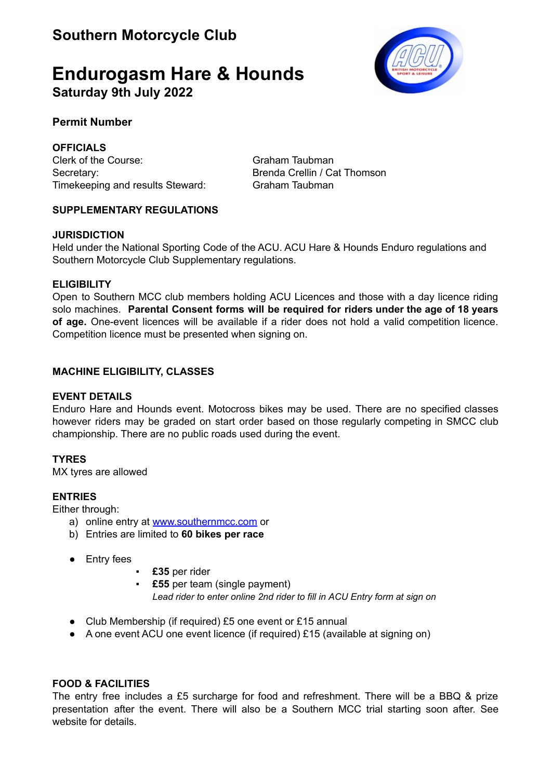# **Endurogasm Hare & Hounds Saturday 9th July 2022**

# **Permit Number**

**OFFICIALS** Clerk of the Course: Graham Taubman Secretary: Secretary: Secretary: Secretary: Secretary: Secretary: Secretary: Secretary: Secretary: Secretary: Secretary: Secretary: Secretary: Secretary: Secretary: Secretary: Secretary: Secretary: Secretary: Secretary: Se Timekeeping and results Steward: Graham Taubman

# **SUPPLEMENTARY REGULATIONS**

# **JURISDICTION**

Held under the National Sporting Code of the ACU. ACU Hare & Hounds Enduro regulations and Southern Motorcycle Club Supplementary regulations.

# **ELIGIBILITY**

Open to Southern MCC club members holding ACU Licences and those with a day licence riding solo machines. **Parental Consent forms will be required for riders under the age of 18 years of age.** One-event licences will be available if a rider does not hold a valid competition licence. Competition licence must be presented when signing on.

# **MACHINE ELIGIBILITY, CLASSES**

### **EVENT DETAILS**

Enduro Hare and Hounds event. Motocross bikes may be used. There are no specified classes however riders may be graded on start order based on those regularly competing in SMCC club championship. There are no public roads used during the event.

# **TYRES**

MX tyres are allowed

# **ENTRIES**

Either through:

- a) online entry at [www.southernmcc.com](http://www.southernmcc.com) or
- b) Entries are limited to **60 bikes per race**
- Entry fees
- £35 per rider
- **£55** per team (single payment) *Lead rider to enter online 2nd rider to fill in ACU Entry form at sign on*
- Club Membership (if required) £5 one event or £15 annual
- *●* A one event ACU one event licence (if required) £15 (available at signing on)

# **FOOD & FACILITIES**

The entry free includes a £5 surcharge for food and refreshment. There will be a BBQ & prize presentation after the event. There will also be a Southern MCC trial starting soon after. See website for details.